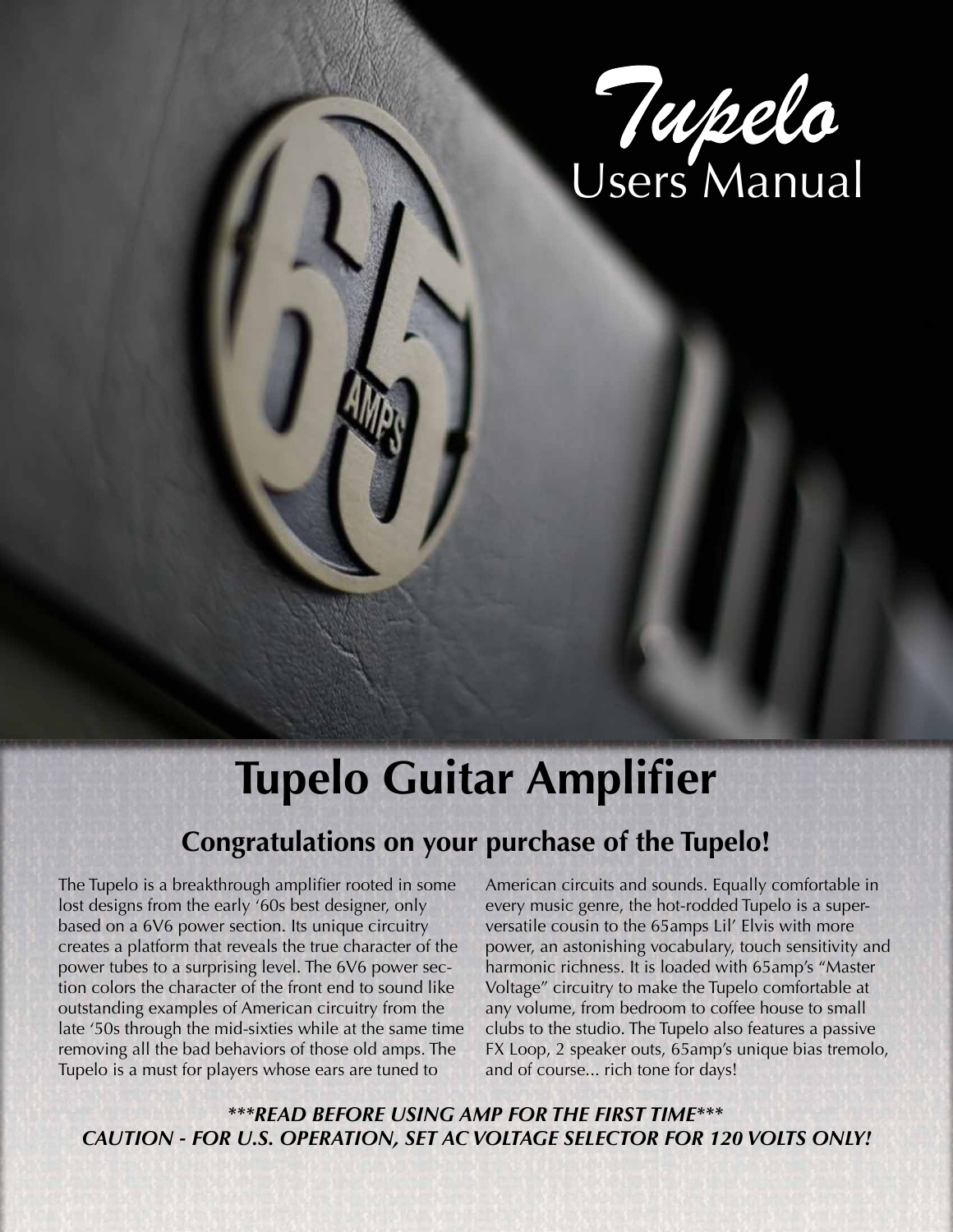

# **Tupelo Guitar Amplifier**

## **Congratulations on your purchase of the Tupelo!**

The Tupelo is a breakthrough amplifier rooted in some lost designs from the early '60s best designer, only based on a 6V6 power section. Its unique circuitry creates a platform that reveals the true character of the power tubes to a surprising level. The 6V6 power section colors the character of the front end to sound like outstanding examples of American circuitry from the late '50s through the mid-sixties while at the same time removing all the bad behaviors of those old amps. The Tupelo is a must for players whose ears are tuned to

American circuits and sounds. Equally comfortable in every music genre, the hot-rodded Tupelo is a superversatile cousin to the 65amps Lil' Elvis with more power, an astonishing vocabulary, touch sensitivity and harmonic richness. It is loaded with 65amp's "Master Voltage" circuitry to make the Tupelo comfortable at any volume, from bedroom to coffee house to small clubs to the studio. The Tupelo also features a passive FX Loop, 2 speaker outs, 65amp's unique bias tremolo, and of course... rich tone for days!

*\*\*\*READ BEFORE USING AMP FOR THE FIRST TIME\*\*\* CAUTION - FOR U.S. OPERATION, SET AC VOLTAGE SELECTOR FOR 120 VOLTS ONLY!*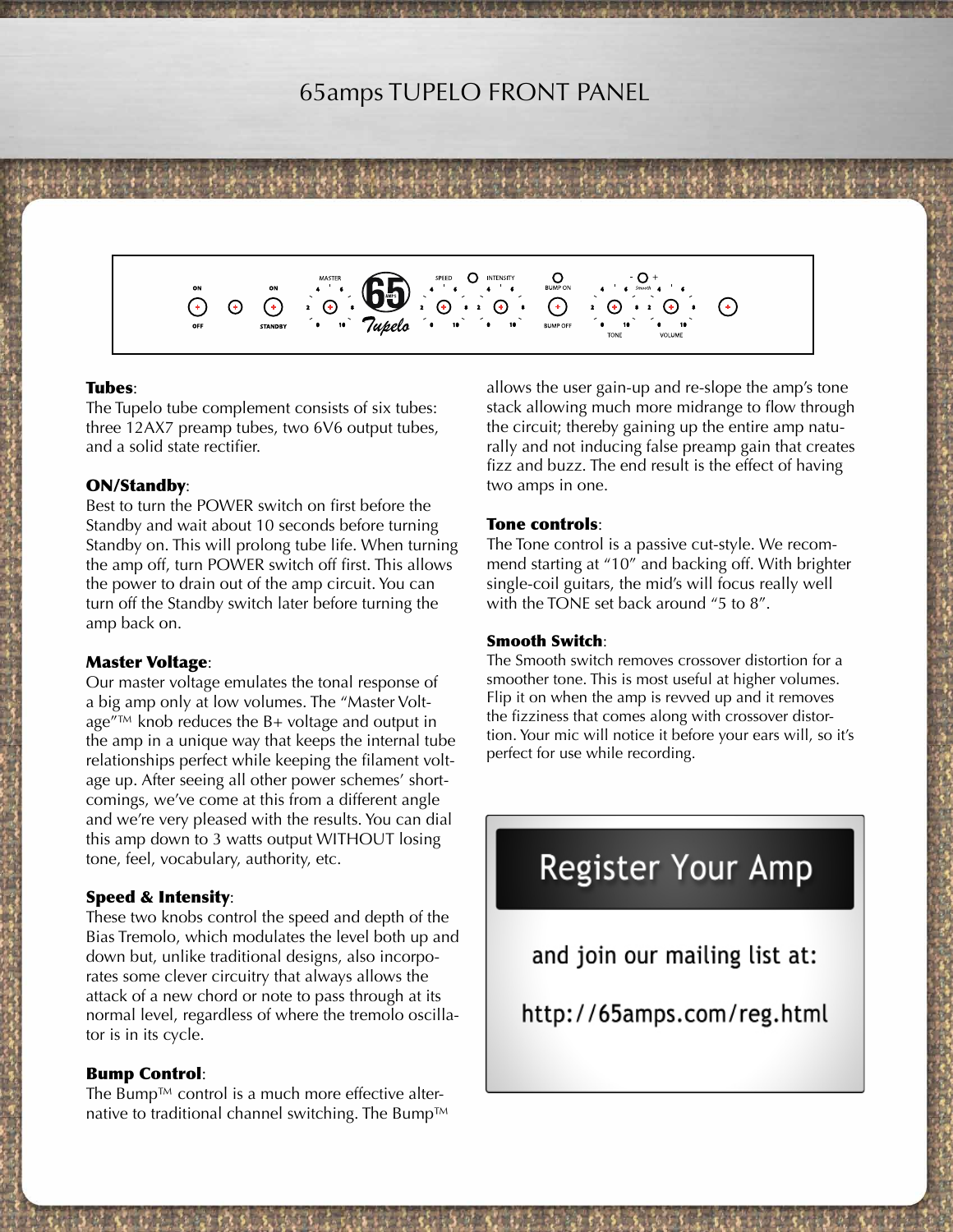### 65amps TUPELO FRONT PANEL



#### Tubes:

The Tupelo tube complement consists of six tubes: three 12AX7 preamp tubes, two 6V6 output tubes, and a solid state rectifier.

#### ON/Standby:

Best to turn the POWER switch on first before the Standby and wait about 10 seconds before turning Standby on. This will prolong tube life. When turning the amp off, turn POWER switch off first. This allows the power to drain out of the amp circuit. You can turn off the Standby switch later before turning the amp back on.

#### Master Voltage:

Our master voltage emulates the tonal response of a big amp only at low volumes. The "Master Voltage"™ knob reduces the B+ voltage and output in the amp in a unique way that keeps the internal tube relationships perfect while keeping the filament voltage up. After seeing all other power schemes' shortcomings, we've come at this from a different angle and we're very pleased with the results. You can dial this amp down to 3 watts output WITHOUT losing tone, feel, vocabulary, authority, etc.

#### Speed & Intensity:

These two knobs control the speed and depth of the Bias Tremolo, which modulates the level both up and down but, unlike traditional designs, also incorporates some clever circuitry that always allows the attack of a new chord or note to pass through at its normal level, regardless of where the tremolo oscillator is in its cycle.

#### Bump Control:

The Bump™ control is a much more effective alternative to traditional channel switching. The Bump™ allows the user gain-up and re-slope the amp's tone stack allowing much more midrange to flow through the circuit; thereby gaining up the entire amp naturally and not inducing false preamp gain that creates fizz and buzz. The end result is the effect of having two amps in one.

#### Tone controls:

The Tone control is a passive cut-style. We recommend starting at "10" and backing off. With brighter single-coil guitars, the mid's will focus really well with the TONE set back around "5 to 8".

#### Smooth Switch:

The Smooth switch removes crossover distortion for a smoother tone. This is most useful at higher volumes. Flip it on when the amp is revved up and it removes the fizziness that comes along with crossover distortion. Your mic will notice it before your ears will, so it's perfect for use while recording.

# **Register Your Amp**

and join our mailing list at:

http://65amps.com/reg.html